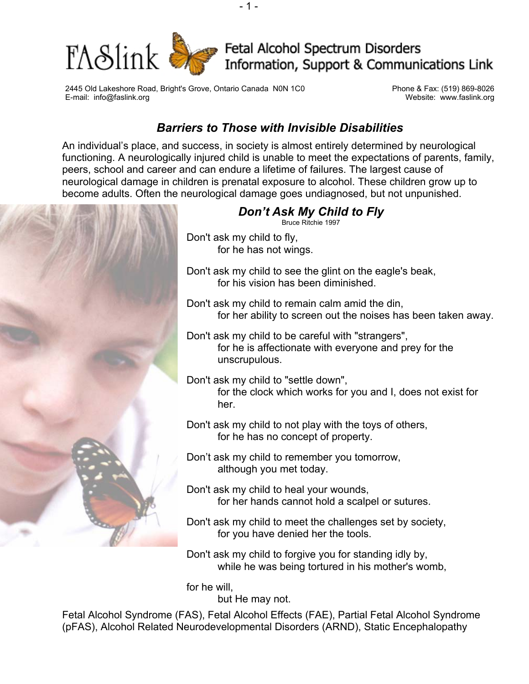

2445 Old Lakeshore Road, Bright's Grove, Ontario Canada N0N 1C0 Phone & Fax: (519) 869-8026 E-mail: info@faslink.org Website: www.faslink.org

## *Barriers to Those with Invisible Disabilities*

An individual's place, and success, in society is almost entirely determined by neurological functioning. A neurologically injured child is unable to meet the expectations of parents, family, peers, school and career and can endure a lifetime of failures. The largest cause of neurological damage in children is prenatal exposure to alcohol. These children grow up to become adults. Often the neurological damage goes undiagnosed, but not unpunished.



Don't ask my child to forgive you for standing idly by, while he was being tortured in his mother's womb,

for he will,

but He may not.

Fetal Alcohol Syndrome (FAS), Fetal Alcohol Effects (FAE), Partial Fetal Alcohol Syndrome (pFAS), Alcohol Related Neurodevelopmental Disorders (ARND), Static Encephalopathy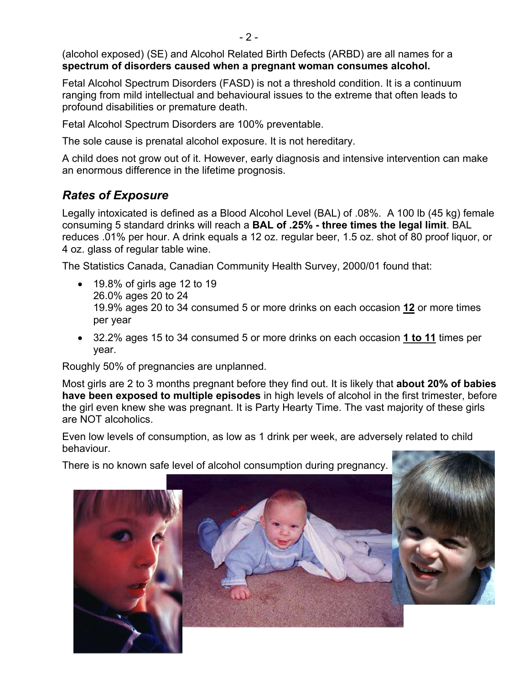(alcohol exposed) (SE) and Alcohol Related Birth Defects (ARBD) are all names for a **spectrum of disorders caused when a pregnant woman consumes alcohol.** 

Fetal Alcohol Spectrum Disorders (FASD) is not a threshold condition. It is a continuum ranging from mild intellectual and behavioural issues to the extreme that often leads to profound disabilities or premature death.

Fetal Alcohol Spectrum Disorders are 100% preventable.

The sole cause is prenatal alcohol exposure. It is not hereditary.

A child does not grow out of it. However, early diagnosis and intensive intervention can make an enormous difference in the lifetime prognosis.

# *Rates of Exposure*

Legally intoxicated is defined as a Blood Alcohol Level (BAL) of .08%. A 100 lb (45 kg) female consuming 5 standard drinks will reach a **BAL of .25% - three times the legal limit**. BAL reduces .01% per hour. A drink equals a 12 oz. regular beer, 1.5 oz. shot of 80 proof liquor, or 4 oz. glass of regular table wine.

The Statistics Canada, Canadian Community Health Survey, 2000/01 found that:

- 19.8% of girls age 12 to 19 26.0% ages 20 to 24 19.9% ages 20 to 34 consumed 5 or more drinks on each occasion **12** or more times per year
- 32.2% ages 15 to 34 consumed 5 or more drinks on each occasion **1 to 11** times per year.

Roughly 50% of pregnancies are unplanned.

Most girls are 2 to 3 months pregnant before they find out. It is likely that **about 20% of babies have been exposed to multiple episodes** in high levels of alcohol in the first trimester, before the girl even knew she was pregnant. It is Party Hearty Time. The vast majority of these girls are NOT alcoholics.

Even low levels of consumption, as low as 1 drink per week, are adversely related to child behaviour.

There is no known safe level of alcohol consumption during pregnancy.

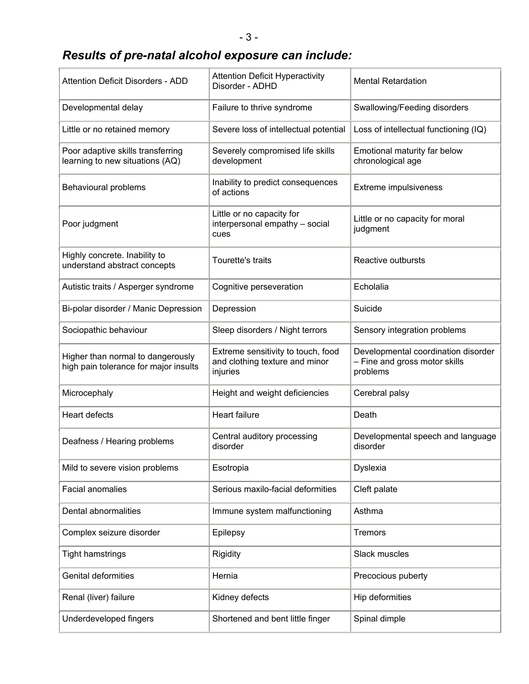# *Results of pre-natal alcohol exposure can include:*

| Attention Deficit Disorders - ADD                                          | <b>Attention Deficit Hyperactivity</b><br>Disorder - ADHD                        | <b>Mental Retardation</b>                                                        |
|----------------------------------------------------------------------------|----------------------------------------------------------------------------------|----------------------------------------------------------------------------------|
| Developmental delay                                                        | Failure to thrive syndrome                                                       | Swallowing/Feeding disorders                                                     |
| Little or no retained memory                                               | Severe loss of intellectual potential                                            | Loss of intellectual functioning (IQ)                                            |
| Poor adaptive skills transferring<br>learning to new situations (AQ)       | Severely compromised life skills<br>development                                  | Emotional maturity far below<br>chronological age                                |
| Behavioural problems                                                       | Inability to predict consequences<br>of actions                                  | Extreme impulsiveness                                                            |
| Poor judgment                                                              | Little or no capacity for<br>interpersonal empathy - social<br>cues              | Little or no capacity for moral<br>judgment                                      |
| Highly concrete. Inability to<br>understand abstract concepts              | Tourette's traits                                                                | Reactive outbursts                                                               |
| Autistic traits / Asperger syndrome                                        | Cognitive perseveration                                                          | Echolalia                                                                        |
| Bi-polar disorder / Manic Depression                                       | Depression                                                                       | Suicide                                                                          |
| Sociopathic behaviour                                                      | Sleep disorders / Night terrors                                                  | Sensory integration problems                                                     |
| Higher than normal to dangerously<br>high pain tolerance for major insults | Extreme sensitivity to touch, food<br>and clothing texture and minor<br>injuries | Developmental coordination disorder<br>- Fine and gross motor skills<br>problems |
| Microcephaly                                                               | Height and weight deficiencies                                                   | Cerebral palsy                                                                   |
| <b>Heart defects</b>                                                       | <b>Heart failure</b>                                                             | Death                                                                            |
| Deafness / Hearing problems                                                | Central auditory processing<br>disorder                                          | Developmental speech and language<br>disorder                                    |
| Mild to severe vision problems                                             | Esotropia                                                                        | Dyslexia                                                                         |
| <b>Facial anomalies</b>                                                    | Serious maxilo-facial deformities                                                | Cleft palate                                                                     |
| Dental abnormalities                                                       | Immune system malfunctioning                                                     | Asthma                                                                           |
| Complex seizure disorder                                                   | Epilepsy                                                                         | <b>Tremors</b>                                                                   |
| <b>Tight hamstrings</b>                                                    | Rigidity                                                                         | Slack muscles                                                                    |
| <b>Genital deformities</b>                                                 | Hernia                                                                           | Precocious puberty                                                               |
| Renal (liver) failure                                                      | Kidney defects                                                                   | Hip deformities                                                                  |
| Underdeveloped fingers                                                     | Shortened and bent little finger                                                 | Spinal dimple                                                                    |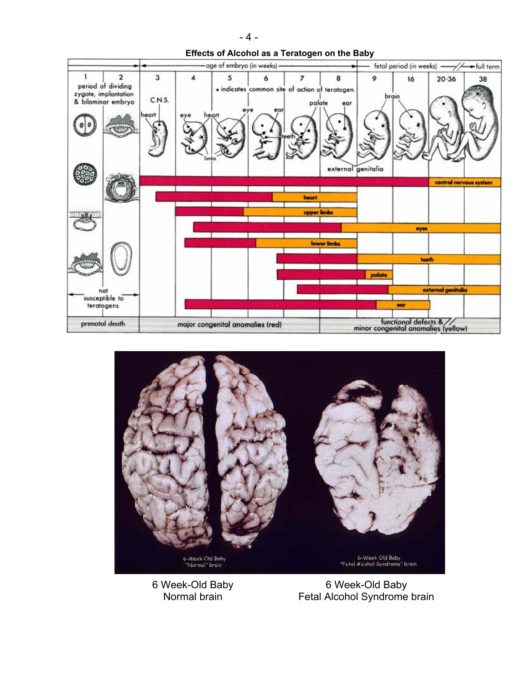



6 Week-Old Baby Normal brain

6 Week-Old Baby Fetal Alcohol Syndrome brain

 $-4-$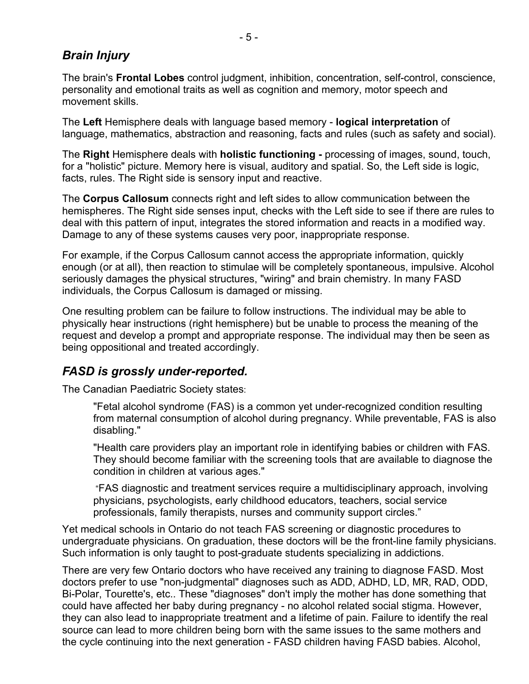## *Brain Injury*

The brain's **Frontal Lobes** control judgment, inhibition, concentration, self-control, conscience, personality and emotional traits as well as cognition and memory, motor speech and movement skills.

The **Left** Hemisphere deals with language based memory - **logical interpretation** of language, mathematics, abstraction and reasoning, facts and rules (such as safety and social).

The **Right** Hemisphere deals with **holistic functioning -** processing of images, sound, touch, for a "holistic" picture. Memory here is visual, auditory and spatial. So, the Left side is logic, facts, rules. The Right side is sensory input and reactive.

The **Corpus Callosum** connects right and left sides to allow communication between the hemispheres. The Right side senses input, checks with the Left side to see if there are rules to deal with this pattern of input, integrates the stored information and reacts in a modified way. Damage to any of these systems causes very poor, inappropriate response.

For example, if the Corpus Callosum cannot access the appropriate information, quickly enough (or at all), then reaction to stimulae will be completely spontaneous, impulsive. Alcohol seriously damages the physical structures, "wiring" and brain chemistry. In many FASD individuals, the Corpus Callosum is damaged or missing.

One resulting problem can be failure to follow instructions. The individual may be able to physically hear instructions (right hemisphere) but be unable to process the meaning of the request and develop a prompt and appropriate response. The individual may then be seen as being oppositional and treated accordingly.

## *FASD is grossly under-reported.*

The Canadian Paediatric Society states:

"Fetal alcohol syndrome (FAS) is a common yet under-recognized condition resulting from maternal consumption of alcohol during pregnancy. While preventable, FAS is also disabling."

"Health care providers play an important role in identifying babies or children with FAS. They should become familiar with the screening tools that are available to diagnose the condition in children at various ages."

 "FAS diagnostic and treatment services require a multidisciplinary approach, involving physicians, psychologists, early childhood educators, teachers, social service professionals, family therapists, nurses and community support circles."

Yet medical schools in Ontario do not teach FAS screening or diagnostic procedures to undergraduate physicians. On graduation, these doctors will be the front-line family physicians. Such information is only taught to post-graduate students specializing in addictions.

There are very few Ontario doctors who have received any training to diagnose FASD. Most doctors prefer to use "non-judgmental" diagnoses such as ADD, ADHD, LD, MR, RAD, ODD, Bi-Polar, Tourette's, etc.. These "diagnoses" don't imply the mother has done something that could have affected her baby during pregnancy - no alcohol related social stigma. However, they can also lead to inappropriate treatment and a lifetime of pain. Failure to identify the real source can lead to more children being born with the same issues to the same mothers and the cycle continuing into the next generation - FASD children having FASD babies. Alcohol,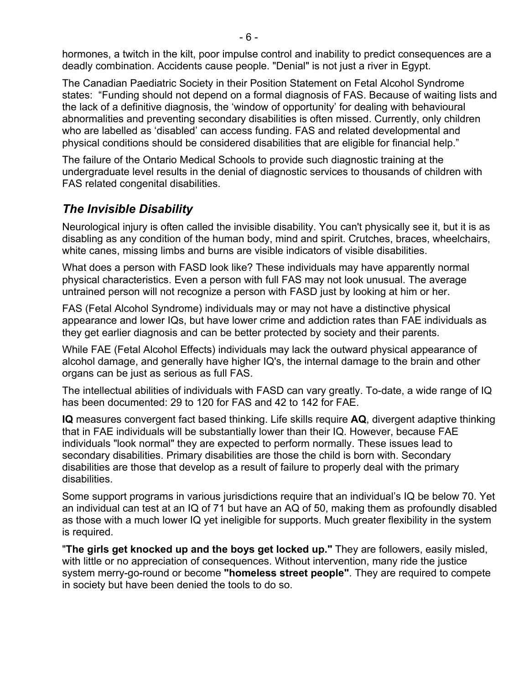hormones, a twitch in the kilt, poor impulse control and inability to predict consequences are a deadly combination. Accidents cause people. "Denial" is not just a river in Egypt.

The Canadian Paediatric Society in their Position Statement on Fetal Alcohol Syndrome states: "Funding should not depend on a formal diagnosis of FAS. Because of waiting lists and the lack of a definitive diagnosis, the 'window of opportunity' for dealing with behavioural abnormalities and preventing secondary disabilities is often missed. Currently, only children who are labelled as 'disabled' can access funding. FAS and related developmental and physical conditions should be considered disabilities that are eligible for financial help."

The failure of the Ontario Medical Schools to provide such diagnostic training at the undergraduate level results in the denial of diagnostic services to thousands of children with FAS related congenital disabilities.

## *The Invisible Disability*

Neurological injury is often called the invisible disability. You can't physically see it, but it is as disabling as any condition of the human body, mind and spirit. Crutches, braces, wheelchairs, white canes, missing limbs and burns are visible indicators of visible disabilities.

What does a person with FASD look like? These individuals may have apparently normal physical characteristics. Even a person with full FAS may not look unusual. The average untrained person will not recognize a person with FASD just by looking at him or her.

FAS (Fetal Alcohol Syndrome) individuals may or may not have a distinctive physical appearance and lower IQs, but have lower crime and addiction rates than FAE individuals as they get earlier diagnosis and can be better protected by society and their parents.

While FAE (Fetal Alcohol Effects) individuals may lack the outward physical appearance of alcohol damage, and generally have higher IQ's, the internal damage to the brain and other organs can be just as serious as full FAS.

The intellectual abilities of individuals with FASD can vary greatly. To-date, a wide range of IQ has been documented: 29 to 120 for FAS and 42 to 142 for FAE.

**IQ** measures convergent fact based thinking. Life skills require **AQ**, divergent adaptive thinking that in FAE individuals will be substantially lower than their IQ. However, because FAE individuals "look normal" they are expected to perform normally. These issues lead to secondary disabilities. Primary disabilities are those the child is born with. Secondary disabilities are those that develop as a result of failure to properly deal with the primary disabilities.

Some support programs in various jurisdictions require that an individual's IQ be below 70. Yet an individual can test at an IQ of 71 but have an AQ of 50, making them as profoundly disabled as those with a much lower IQ yet ineligible for supports. Much greater flexibility in the system is required.

"**The girls get knocked up and the boys get locked up."** They are followers, easily misled, with little or no appreciation of consequences. Without intervention, many ride the justice system merry-go-round or become **"homeless street people"**. They are required to compete in society but have been denied the tools to do so.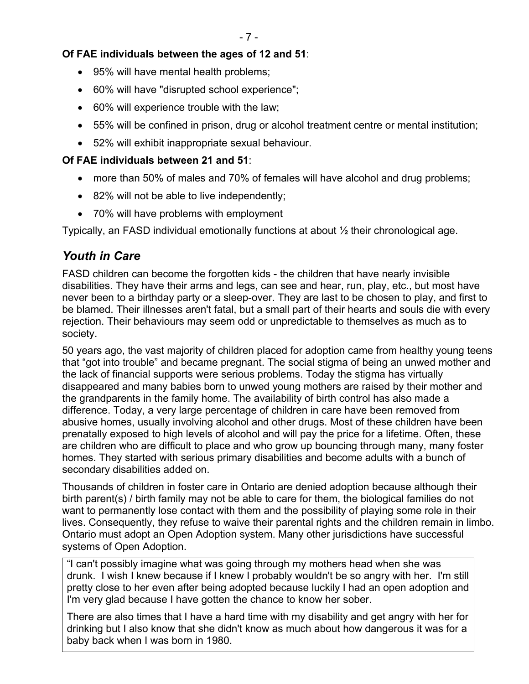### **Of FAE individuals between the ages of 12 and 51**:

- 95% will have mental health problems;
- 60% will have "disrupted school experience";
- 60% will experience trouble with the law;
- 55% will be confined in prison, drug or alcohol treatment centre or mental institution;
- 52% will exhibit inappropriate sexual behaviour.

### **Of FAE individuals between 21 and 51**:

- more than 50% of males and 70% of females will have alcohol and drug problems;
- 82% will not be able to live independently;
- 70% will have problems with employment

Typically, an FASD individual emotionally functions at about ½ their chronological age.

## *Youth in Care*

FASD children can become the forgotten kids - the children that have nearly invisible disabilities. They have their arms and legs, can see and hear, run, play, etc., but most have never been to a birthday party or a sleep-over. They are last to be chosen to play, and first to be blamed. Their illnesses aren't fatal, but a small part of their hearts and souls die with every rejection. Their behaviours may seem odd or unpredictable to themselves as much as to society.

50 years ago, the vast majority of children placed for adoption came from healthy young teens that "got into trouble" and became pregnant. The social stigma of being an unwed mother and the lack of financial supports were serious problems. Today the stigma has virtually disappeared and many babies born to unwed young mothers are raised by their mother and the grandparents in the family home. The availability of birth control has also made a difference. Today, a very large percentage of children in care have been removed from abusive homes, usually involving alcohol and other drugs. Most of these children have been prenatally exposed to high levels of alcohol and will pay the price for a lifetime. Often, these are children who are difficult to place and who grow up bouncing through many, many foster homes. They started with serious primary disabilities and become adults with a bunch of secondary disabilities added on.

Thousands of children in foster care in Ontario are denied adoption because although their birth parent(s) / birth family may not be able to care for them, the biological families do not want to permanently lose contact with them and the possibility of playing some role in their lives. Consequently, they refuse to waive their parental rights and the children remain in limbo. Ontario must adopt an Open Adoption system. Many other jurisdictions have successful systems of Open Adoption.

"I can't possibly imagine what was going through my mothers head when she was drunk. I wish I knew because if I knew I probably wouldn't be so angry with her. I'm still pretty close to her even after being adopted because luckily I had an open adoption and I'm very glad because I have gotten the chance to know her sober.

There are also times that I have a hard time with my disability and get angry with her for drinking but I also know that she didn't know as much about how dangerous it was for a baby back when I was born in 1980.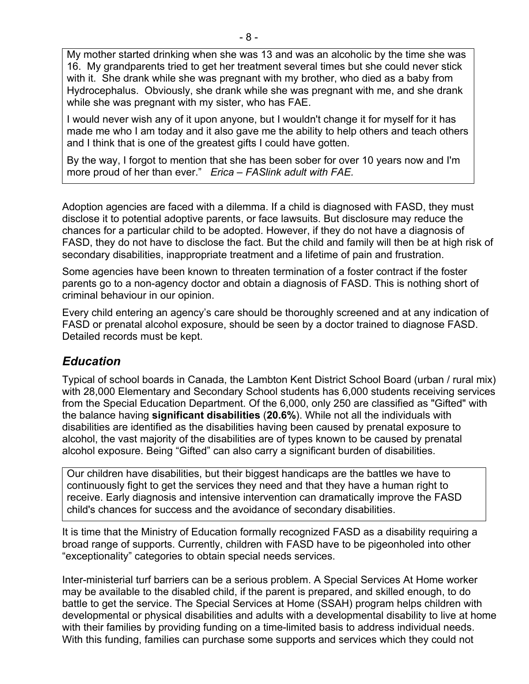My mother started drinking when she was 13 and was an alcoholic by the time she was 16. My grandparents tried to get her treatment several times but she could never stick with it. She drank while she was pregnant with my brother, who died as a baby from Hydrocephalus. Obviously, she drank while she was pregnant with me, and she drank while she was pregnant with my sister, who has FAE.

I would never wish any of it upon anyone, but I wouldn't change it for myself for it has made me who I am today and it also gave me the ability to help others and teach others and I think that is one of the greatest gifts I could have gotten.

By the way, I forgot to mention that she has been sober for over 10 years now and I'm more proud of her than ever." *Erica – FASlink adult with FAE.*

Adoption agencies are faced with a dilemma. If a child is diagnosed with FASD, they must disclose it to potential adoptive parents, or face lawsuits. But disclosure may reduce the chances for a particular child to be adopted. However, if they do not have a diagnosis of FASD, they do not have to disclose the fact. But the child and family will then be at high risk of secondary disabilities, inappropriate treatment and a lifetime of pain and frustration.

Some agencies have been known to threaten termination of a foster contract if the foster parents go to a non-agency doctor and obtain a diagnosis of FASD. This is nothing short of criminal behaviour in our opinion.

Every child entering an agency's care should be thoroughly screened and at any indication of FASD or prenatal alcohol exposure, should be seen by a doctor trained to diagnose FASD. Detailed records must be kept.

## *Education*

Typical of school boards in Canada, the Lambton Kent District School Board (urban / rural mix) with 28,000 Elementary and Secondary School students has 6,000 students receiving services from the Special Education Department. Of the 6,000, only 250 are classified as "Gifted" with the balance having **significant disabilities** (**20.6%**). While not all the individuals with disabilities are identified as the disabilities having been caused by prenatal exposure to alcohol, the vast majority of the disabilities are of types known to be caused by prenatal alcohol exposure. Being "Gifted" can also carry a significant burden of disabilities.

Our children have disabilities, but their biggest handicaps are the battles we have to continuously fight to get the services they need and that they have a human right to receive. Early diagnosis and intensive intervention can dramatically improve the FASD child's chances for success and the avoidance of secondary disabilities.

It is time that the Ministry of Education formally recognized FASD as a disability requiring a broad range of supports. Currently, children with FASD have to be pigeonholed into other "exceptionality" categories to obtain special needs services.

Inter-ministerial turf barriers can be a serious problem. A Special Services At Home worker may be available to the disabled child, if the parent is prepared, and skilled enough, to do battle to get the service. The Special Services at Home (SSAH) program helps children with developmental or physical disabilities and adults with a developmental disability to live at home with their families by providing funding on a time-limited basis to address individual needs. With this funding, families can purchase some supports and services which they could not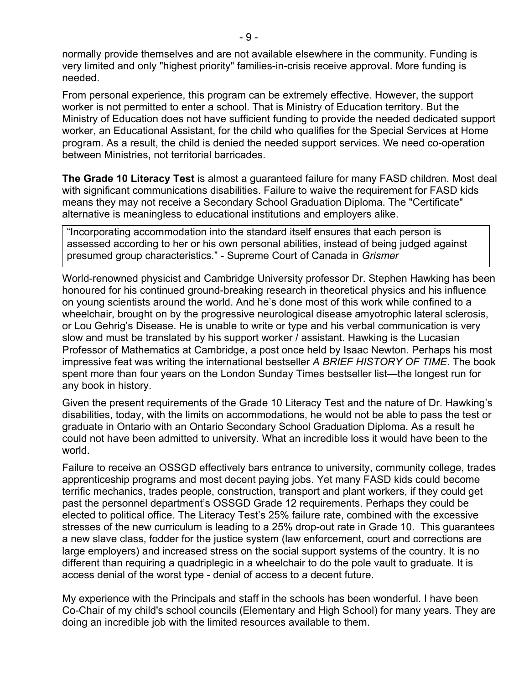normally provide themselves and are not available elsewhere in the community. Funding is very limited and only "highest priority" families-in-crisis receive approval. More funding is needed.

From personal experience, this program can be extremely effective. However, the support worker is not permitted to enter a school. That is Ministry of Education territory. But the Ministry of Education does not have sufficient funding to provide the needed dedicated support worker, an Educational Assistant, for the child who qualifies for the Special Services at Home program. As a result, the child is denied the needed support services. We need co-operation between Ministries, not territorial barricades.

**The Grade 10 Literacy Test** is almost a guaranteed failure for many FASD children. Most deal with significant communications disabilities. Failure to waive the requirement for FASD kids means they may not receive a Secondary School Graduation Diploma. The "Certificate" alternative is meaningless to educational institutions and employers alike.

"Incorporating accommodation into the standard itself ensures that each person is assessed according to her or his own personal abilities, instead of being judged against presumed group characteristics." - Supreme Court of Canada in *Grismer*

World-renowned physicist and Cambridge University professor Dr. Stephen Hawking has been honoured for his continued ground-breaking research in theoretical physics and his influence on young scientists around the world. And he's done most of this work while confined to a wheelchair, brought on by the progressive neurological disease amyotrophic lateral sclerosis, or Lou Gehrig's Disease. He is unable to write or type and his verbal communication is very slow and must be translated by his support worker / assistant. Hawking is the Lucasian Professor of Mathematics at Cambridge, a post once held by Isaac Newton. Perhaps his most impressive feat was writing the international bestseller *A BRIEF HISTORY OF TIME*. The book spent more than four years on the London Sunday Times bestseller list—the longest run for any book in history.

Given the present requirements of the Grade 10 Literacy Test and the nature of Dr. Hawking's disabilities, today, with the limits on accommodations, he would not be able to pass the test or graduate in Ontario with an Ontario Secondary School Graduation Diploma. As a result he could not have been admitted to university. What an incredible loss it would have been to the world.

Failure to receive an OSSGD effectively bars entrance to university, community college, trades apprenticeship programs and most decent paying jobs. Yet many FASD kids could become terrific mechanics, trades people, construction, transport and plant workers, if they could get past the personnel department's OSSGD Grade 12 requirements. Perhaps they could be elected to political office. The Literacy Test's 25% failure rate, combined with the excessive stresses of the new curriculum is leading to a 25% drop-out rate in Grade 10. This guarantees a new slave class, fodder for the justice system (law enforcement, court and corrections are large employers) and increased stress on the social support systems of the country. It is no different than requiring a quadriplegic in a wheelchair to do the pole vault to graduate. It is access denial of the worst type - denial of access to a decent future.

My experience with the Principals and staff in the schools has been wonderful. I have been Co-Chair of my child's school councils (Elementary and High School) for many years. They are doing an incredible job with the limited resources available to them.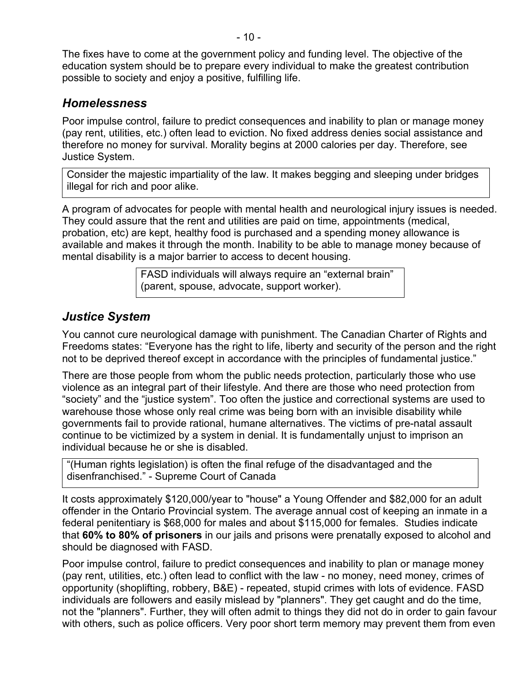The fixes have to come at the government policy and funding level. The objective of the education system should be to prepare every individual to make the greatest contribution possible to society and enjoy a positive, fulfilling life.

### *Homelessness*

Poor impulse control, failure to predict consequences and inability to plan or manage money (pay rent, utilities, etc.) often lead to eviction. No fixed address denies social assistance and therefore no money for survival. Morality begins at 2000 calories per day. Therefore, see Justice System.

Consider the majestic impartiality of the law. It makes begging and sleeping under bridges illegal for rich and poor alike.

A program of advocates for people with mental health and neurological injury issues is needed. They could assure that the rent and utilities are paid on time, appointments (medical, probation, etc) are kept, healthy food is purchased and a spending money allowance is available and makes it through the month. Inability to be able to manage money because of mental disability is a major barrier to access to decent housing.

> FASD individuals will always require an "external brain" (parent, spouse, advocate, support worker).

## *Justice System*

You cannot cure neurological damage with punishment. The Canadian Charter of Rights and Freedoms states: "Everyone has the right to life, liberty and security of the person and the right not to be deprived thereof except in accordance with the principles of fundamental justice."

There are those people from whom the public needs protection, particularly those who use violence as an integral part of their lifestyle. And there are those who need protection from "society" and the "justice system". Too often the justice and correctional systems are used to warehouse those whose only real crime was being born with an invisible disability while governments fail to provide rational, humane alternatives. The victims of pre-natal assault continue to be victimized by a system in denial. It is fundamentally unjust to imprison an individual because he or she is disabled.

"(Human rights legislation) is often the final refuge of the disadvantaged and the disenfranchised." - Supreme Court of Canada

It costs approximately \$120,000/year to "house" a Young Offender and \$82,000 for an adult offender in the Ontario Provincial system. The average annual cost of keeping an inmate in a federal penitentiary is \$68,000 for males and about \$115,000 for females. Studies indicate that **60% to 80% of prisoners** in our jails and prisons were prenatally exposed to alcohol and should be diagnosed with FASD.

Poor impulse control, failure to predict consequences and inability to plan or manage money (pay rent, utilities, etc.) often lead to conflict with the law - no money, need money, crimes of opportunity (shoplifting, robbery, B&E) - repeated, stupid crimes with lots of evidence. FASD individuals are followers and easily mislead by "planners". They get caught and do the time, not the "planners". Further, they will often admit to things they did not do in order to gain favour with others, such as police officers. Very poor short term memory may prevent them from even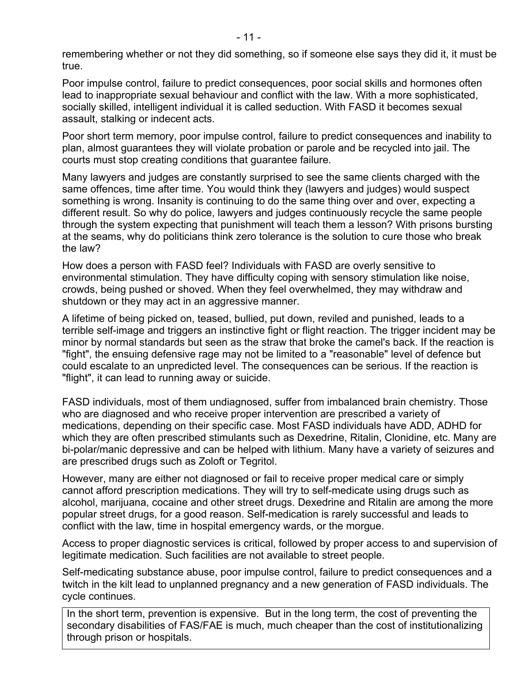remembering whether or not they did something, so if someone else says they did it, it must be true.

Poor impulse control, failure to predict consequences, poor social skills and hormones often lead to inappropriate sexual behaviour and conflict with the law. With a more sophisticated, socially skilled, intelligent individual it is called seduction. With FASD it becomes sexual assault, stalking or indecent acts.

Poor short term memory, poor impulse control, failure to predict consequences and inability to plan, almost guarantees they will violate probation or parole and be recycled into jail. The courts must stop creating conditions that guarantee failure.

Many lawyers and judges are constantly surprised to see the same clients charged with the same offences, time after time. You would think they (lawyers and judges) would suspect something is wrong. Insanity is continuing to do the same thing over and over, expecting a different result. So why do police, lawyers and judges continuously recycle the same people through the system expecting that punishment will teach them a lesson? With prisons bursting at the seams, why do politicians think zero tolerance is the solution to cure those who break the law?

How does a person with FASD feel? Individuals with FASD are overly sensitive to environmental stimulation. They have difficulty coping with sensory stimulation like noise, crowds, being pushed or shoved. When they feel overwhelmed, they may withdraw and shutdown or they may act in an aggressive manner.

A lifetime of being picked on, teased, bullied, put down, reviled and punished, leads to a terrible self-image and triggers an instinctive fight or flight reaction. The trigger incident may be minor by normal standards but seen as the straw that broke the camel's back. If the reaction is "fight", the ensuing defensive rage may not be limited to a "reasonable" level of defence but could escalate to an unpredicted level. The consequences can be serious. If the reaction is "flight", it can lead to running away or suicide.

FASD individuals, most of them undiagnosed, suffer from imbalanced brain chemistry. Those who are diagnosed and who receive proper intervention are prescribed a variety of medications, depending on their specific case. Most FASD individuals have ADD, ADHD for which they are often prescribed stimulants such as Dexedrine, Ritalin, Clonidine, etc. Many are bi-polar/manic depressive and can be helped with lithium. Many have a variety of seizures and are prescribed drugs such as Zoloft or Tegritol.

However, many are either not diagnosed or fail to receive proper medical care or simply cannot afford prescription medications. They will try to self-medicate using drugs such as alcohol, marijuana, cocaine and other street drugs. Dexedrine and Ritalin are among the more popular street drugs, for a good reason. Self-medication is rarely successful and leads to conflict with the law, time in hospital emergency wards, or the morgue.

Access to proper diagnostic services is critical, followed by proper access to and supervision of legitimate medication. Such facilities are not available to street people.

Self-medicating substance abuse, poor impulse control, failure to predict consequences and a twitch in the kilt lead to unplanned pregnancy and a new generation of FASD individuals. The cycle continues.

In the short term, prevention is expensive. But in the long term, the cost of preventing the secondary disabilities of FAS/FAE is much, much cheaper than the cost of institutionalizing through prison or hospitals.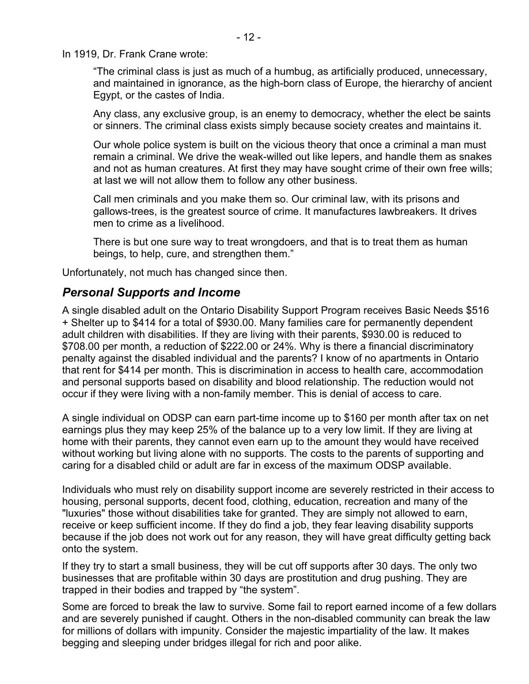In 1919, Dr. Frank Crane wrote:

"The criminal class is just as much of a humbug, as artificially produced, unnecessary, and maintained in ignorance, as the high-born class of Europe, the hierarchy of ancient Egypt, or the castes of India.

Any class, any exclusive group, is an enemy to democracy, whether the elect be saints or sinners. The criminal class exists simply because society creates and maintains it.

Our whole police system is built on the vicious theory that once a criminal a man must remain a criminal. We drive the weak-willed out like lepers, and handle them as snakes and not as human creatures. At first they may have sought crime of their own free wills; at last we will not allow them to follow any other business.

Call men criminals and you make them so. Our criminal law, with its prisons and gallows-trees, is the greatest source of crime. It manufactures lawbreakers. It drives men to crime as a livelihood.

There is but one sure way to treat wrongdoers, and that is to treat them as human beings, to help, cure, and strengthen them."

Unfortunately, not much has changed since then.

#### *Personal Supports and Income*

A single disabled adult on the Ontario Disability Support Program receives Basic Needs \$516 + Shelter up to \$414 for a total of \$930.00. Many families care for permanently dependent adult children with disabilities. If they are living with their parents, \$930.00 is reduced to \$708.00 per month, a reduction of \$222.00 or 24%. Why is there a financial discriminatory penalty against the disabled individual and the parents? I know of no apartments in Ontario that rent for \$414 per month. This is discrimination in access to health care, accommodation and personal supports based on disability and blood relationship. The reduction would not occur if they were living with a non-family member. This is denial of access to care.

A single individual on ODSP can earn part-time income up to \$160 per month after tax on net earnings plus they may keep 25% of the balance up to a very low limit. If they are living at home with their parents, they cannot even earn up to the amount they would have received without working but living alone with no supports. The costs to the parents of supporting and caring for a disabled child or adult are far in excess of the maximum ODSP available.

Individuals who must rely on disability support income are severely restricted in their access to housing, personal supports, decent food, clothing, education, recreation and many of the "luxuries" those without disabilities take for granted. They are simply not allowed to earn, receive or keep sufficient income. If they do find a job, they fear leaving disability supports because if the job does not work out for any reason, they will have great difficulty getting back onto the system.

If they try to start a small business, they will be cut off supports after 30 days. The only two businesses that are profitable within 30 days are prostitution and drug pushing. They are trapped in their bodies and trapped by "the system".

Some are forced to break the law to survive. Some fail to report earned income of a few dollars and are severely punished if caught. Others in the non-disabled community can break the law for millions of dollars with impunity. Consider the majestic impartiality of the law. It makes begging and sleeping under bridges illegal for rich and poor alike.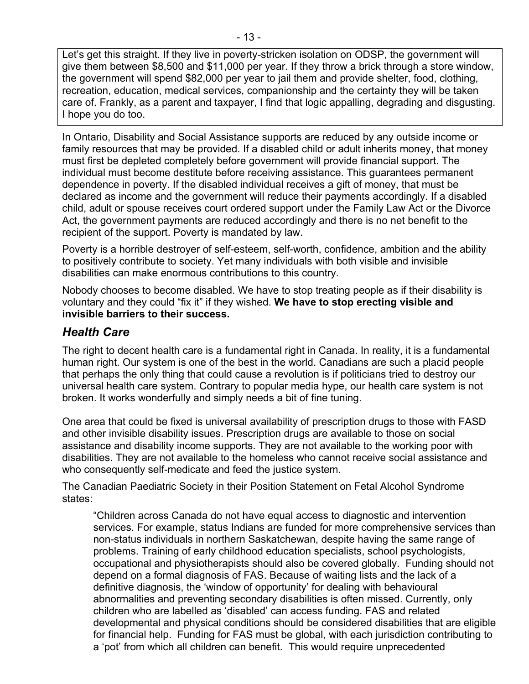Let's get this straight. If they live in poverty-stricken isolation on ODSP, the government will give them between \$8,500 and \$11,000 per year. If they throw a brick through a store window, the government will spend \$82,000 per year to jail them and provide shelter, food, clothing, recreation, education, medical services, companionship and the certainty they will be taken care of. Frankly, as a parent and taxpayer, I find that logic appalling, degrading and disgusting. I hope you do too.

In Ontario, Disability and Social Assistance supports are reduced by any outside income or family resources that may be provided. If a disabled child or adult inherits money, that money must first be depleted completely before government will provide financial support. The individual must become destitute before receiving assistance. This guarantees permanent dependence in poverty. If the disabled individual receives a gift of money, that must be declared as income and the government will reduce their payments accordingly. If a disabled child, adult or spouse receives court ordered support under the Family Law Act or the Divorce Act, the government payments are reduced accordingly and there is no net benefit to the recipient of the support. Poverty is mandated by law.

Poverty is a horrible destroyer of self-esteem, self-worth, confidence, ambition and the ability to positively contribute to society. Yet many individuals with both visible and invisible disabilities can make enormous contributions to this country.

Nobody chooses to become disabled. We have to stop treating people as if their disability is voluntary and they could "fix it" if they wished. **We have to stop erecting visible and invisible barriers to their success.** 

## *Health Care*

The right to decent health care is a fundamental right in Canada. In reality, it is a fundamental human right. Our system is one of the best in the world. Canadians are such a placid people that perhaps the only thing that could cause a revolution is if politicians tried to destroy our universal health care system. Contrary to popular media hype, our health care system is not broken. It works wonderfully and simply needs a bit of fine tuning.

One area that could be fixed is universal availability of prescription drugs to those with FASD and other invisible disability issues. Prescription drugs are available to those on social assistance and disability income supports. They are not available to the working poor with disabilities. They are not available to the homeless who cannot receive social assistance and who consequently self-medicate and feed the justice system.

The Canadian Paediatric Society in their Position Statement on Fetal Alcohol Syndrome states:

"Children across Canada do not have equal access to diagnostic and intervention services. For example, status Indians are funded for more comprehensive services than non-status individuals in northern Saskatchewan, despite having the same range of problems. Training of early childhood education specialists, school psychologists, occupational and physiotherapists should also be covered globally. Funding should not depend on a formal diagnosis of FAS. Because of waiting lists and the lack of a definitive diagnosis, the 'window of opportunity' for dealing with behavioural abnormalities and preventing secondary disabilities is often missed. Currently, only children who are labelled as 'disabled' can access funding. FAS and related developmental and physical conditions should be considered disabilities that are eligible for financial help. Funding for FAS must be global, with each jurisdiction contributing to a 'pot' from which all children can benefit. This would require unprecedented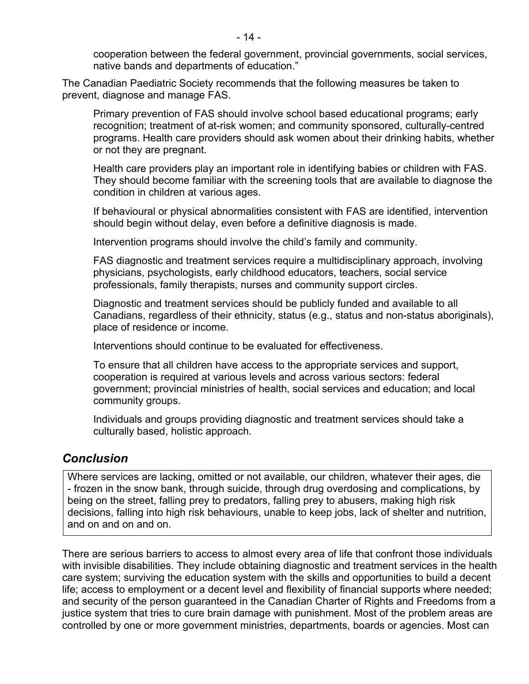cooperation between the federal government, provincial governments, social services, native bands and departments of education."

The Canadian Paediatric Society recommends that the following measures be taken to prevent, diagnose and manage FAS.

 Primary prevention of FAS should involve school based educational programs; early recognition; treatment of at-risk women; and community sponsored, culturally-centred programs. Health care providers should ask women about their drinking habits, whether or not they are pregnant.

 Health care providers play an important role in identifying babies or children with FAS. They should become familiar with the screening tools that are available to diagnose the condition in children at various ages.

 If behavioural or physical abnormalities consistent with FAS are identified, intervention should begin without delay, even before a definitive diagnosis is made.

Intervention programs should involve the child's family and community.

 FAS diagnostic and treatment services require a multidisciplinary approach, involving physicians, psychologists, early childhood educators, teachers, social service professionals, family therapists, nurses and community support circles.

 Diagnostic and treatment services should be publicly funded and available to all Canadians, regardless of their ethnicity, status (e.g., status and non-status aboriginals), place of residence or income.

Interventions should continue to be evaluated for effectiveness.

 To ensure that all children have access to the appropriate services and support, cooperation is required at various levels and across various sectors: federal government; provincial ministries of health, social services and education; and local community groups.

 Individuals and groups providing diagnostic and treatment services should take a culturally based, holistic approach.

#### *Conclusion*

Where services are lacking, omitted or not available, our children, whatever their ages, die - frozen in the snow bank, through suicide, through drug overdosing and complications, by being on the street, falling prey to predators, falling prey to abusers, making high risk decisions, falling into high risk behaviours, unable to keep jobs, lack of shelter and nutrition, and on and on and on.

There are serious barriers to access to almost every area of life that confront those individuals with invisible disabilities. They include obtaining diagnostic and treatment services in the health care system; surviving the education system with the skills and opportunities to build a decent life; access to employment or a decent level and flexibility of financial supports where needed; and security of the person guaranteed in the Canadian Charter of Rights and Freedoms from a justice system that tries to cure brain damage with punishment. Most of the problem areas are controlled by one or more government ministries, departments, boards or agencies. Most can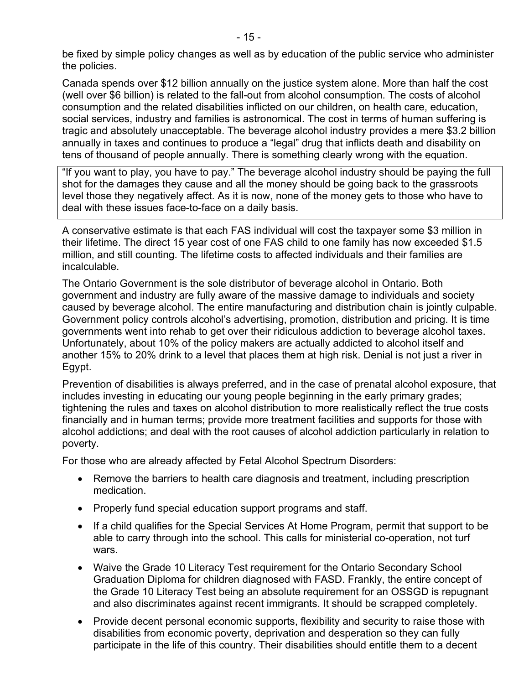be fixed by simple policy changes as well as by education of the public service who administer the policies.

Canada spends over \$12 billion annually on the justice system alone. More than half the cost (well over \$6 billion) is related to the fall-out from alcohol consumption. The costs of alcohol consumption and the related disabilities inflicted on our children, on health care, education, social services, industry and families is astronomical. The cost in terms of human suffering is tragic and absolutely unacceptable. The beverage alcohol industry provides a mere \$3.2 billion annually in taxes and continues to produce a "legal" drug that inflicts death and disability on tens of thousand of people annually. There is something clearly wrong with the equation.

"If you want to play, you have to pay." The beverage alcohol industry should be paying the full shot for the damages they cause and all the money should be going back to the grassroots level those they negatively affect. As it is now, none of the money gets to those who have to deal with these issues face-to-face on a daily basis.

A conservative estimate is that each FAS individual will cost the taxpayer some \$3 million in their lifetime. The direct 15 year cost of one FAS child to one family has now exceeded \$1.5 million, and still counting. The lifetime costs to affected individuals and their families are incalculable.

The Ontario Government is the sole distributor of beverage alcohol in Ontario. Both government and industry are fully aware of the massive damage to individuals and society caused by beverage alcohol. The entire manufacturing and distribution chain is jointly culpable. Government policy controls alcohol's advertising, promotion, distribution and pricing. It is time governments went into rehab to get over their ridiculous addiction to beverage alcohol taxes. Unfortunately, about 10% of the policy makers are actually addicted to alcohol itself and another 15% to 20% drink to a level that places them at high risk. Denial is not just a river in Egypt.

Prevention of disabilities is always preferred, and in the case of prenatal alcohol exposure, that includes investing in educating our young people beginning in the early primary grades; tightening the rules and taxes on alcohol distribution to more realistically reflect the true costs financially and in human terms; provide more treatment facilities and supports for those with alcohol addictions; and deal with the root causes of alcohol addiction particularly in relation to poverty.

For those who are already affected by Fetal Alcohol Spectrum Disorders:

- Remove the barriers to health care diagnosis and treatment, including prescription medication.
- Properly fund special education support programs and staff.
- If a child qualifies for the Special Services At Home Program, permit that support to be able to carry through into the school. This calls for ministerial co-operation, not turf wars.
- Waive the Grade 10 Literacy Test requirement for the Ontario Secondary School Graduation Diploma for children diagnosed with FASD. Frankly, the entire concept of the Grade 10 Literacy Test being an absolute requirement for an OSSGD is repugnant and also discriminates against recent immigrants. It should be scrapped completely.
- Provide decent personal economic supports, flexibility and security to raise those with disabilities from economic poverty, deprivation and desperation so they can fully participate in the life of this country. Their disabilities should entitle them to a decent